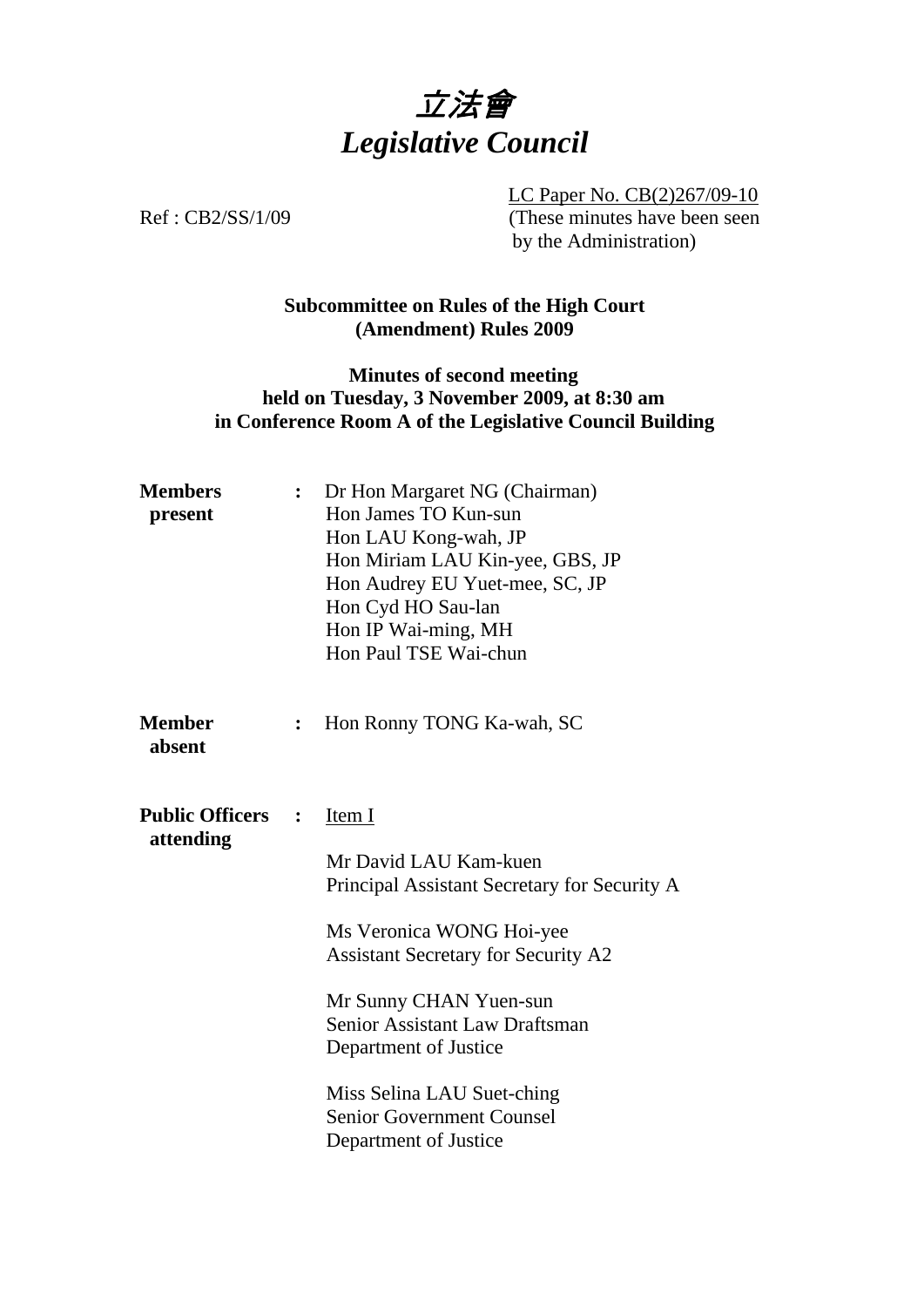

LC Paper No. CB(2)267/09-10 Ref : CB2/SS/1/09 (These minutes have been seen by the Administration)

# **Subcommittee on Rules of the High Court (Amendment) Rules 2009**

### **Minutes of second meeting held on Tuesday, 3 November 2009, at 8:30 am in Conference Room A of the Legislative Council Building**

| <b>Members</b><br>present                             |                | Dr Hon Margaret NG (Chairman)<br>Hon James TO Kun-sun<br>Hon LAU Kong-wah, JP<br>Hon Miriam LAU Kin-yee, GBS, JP<br>Hon Audrey EU Yuet-mee, SC, JP<br>Hon Cyd HO Sau-lan<br>Hon IP Wai-ming, MH<br>Hon Paul TSE Wai-chun                                                                                                                  |
|-------------------------------------------------------|----------------|-------------------------------------------------------------------------------------------------------------------------------------------------------------------------------------------------------------------------------------------------------------------------------------------------------------------------------------------|
| <b>Member</b><br>absent                               | $\ddot{\cdot}$ | Hon Ronny TONG Ka-wah, SC                                                                                                                                                                                                                                                                                                                 |
| <b>Public Officers</b><br>$\ddot{\cdot}$<br>attending |                | Item I<br>Mr David LAU Kam-kuen<br>Principal Assistant Secretary for Security A<br>Ms Veronica WONG Hoi-yee<br><b>Assistant Secretary for Security A2</b><br>Mr Sunny CHAN Yuen-sun<br>Senior Assistant Law Draftsman<br>Department of Justice<br>Miss Selina LAU Suet-ching<br><b>Senior Government Counsel</b><br>Department of Justice |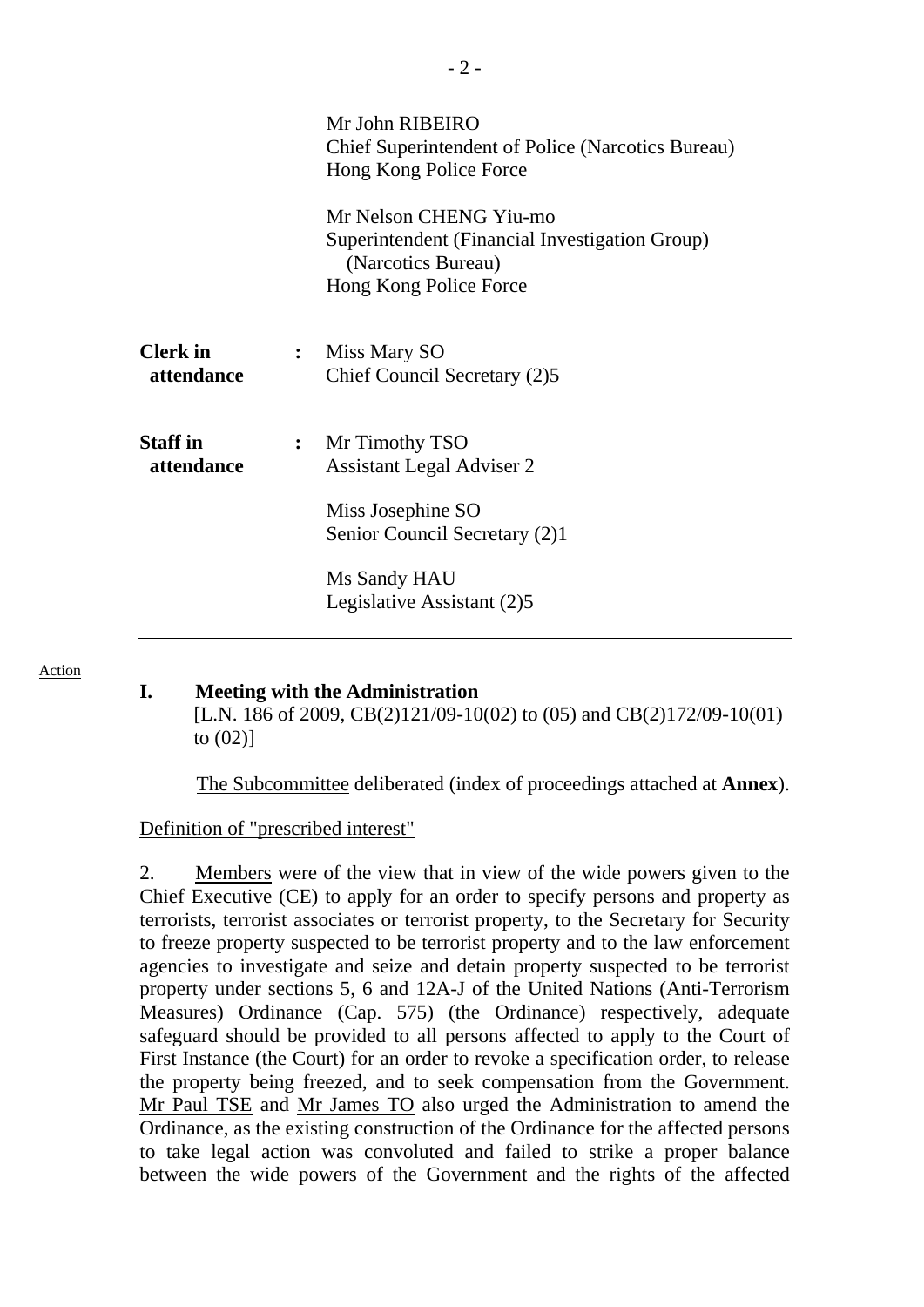|                               |                | Mr John RIBEIRO<br><b>Chief Superintendent of Police (Narcotics Bureau)</b><br>Hong Kong Police Force                                                  |  |
|-------------------------------|----------------|--------------------------------------------------------------------------------------------------------------------------------------------------------|--|
|                               |                | Mr Nelson CHENG Yiu-mo<br>Superintendent (Financial Investigation Group)<br>(Narcotics Bureau)<br>Hong Kong Police Force                               |  |
| <b>Clerk</b> in<br>attendance |                | : Miss Mary SO<br>Chief Council Secretary (2)5                                                                                                         |  |
| <b>Staff</b> in<br>attendance | $\ddot{\cdot}$ | Mr Timothy TSO<br><b>Assistant Legal Adviser 2</b><br>Miss Josephine SO<br>Senior Council Secretary (2)1<br>Ms Sandy HAU<br>Legislative Assistant (2)5 |  |

#### Action

### **I. Meeting with the Administration**

[L.N. 186 of 2009, CB(2)121/09-10(02) to (05) and CB(2)172/09-10(01) to (02)]

1. The Subcommittee deliberated (index of proceedings attached at **Annex**).

Definition of "prescribed interest"

2. Members were of the view that in view of the wide powers given to the Chief Executive (CE) to apply for an order to specify persons and property as terrorists, terrorist associates or terrorist property, to the Secretary for Security to freeze property suspected to be terrorist property and to the law enforcement agencies to investigate and seize and detain property suspected to be terrorist property under sections 5, 6 and 12A-J of the United Nations (Anti-Terrorism Measures) Ordinance (Cap. 575) (the Ordinance) respectively, adequate safeguard should be provided to all persons affected to apply to the Court of First Instance (the Court) for an order to revoke a specification order, to release the property being freezed, and to seek compensation from the Government. Mr Paul TSE and Mr James TO also urged the Administration to amend the Ordinance, as the existing construction of the Ordinance for the affected persons to take legal action was convoluted and failed to strike a proper balance between the wide powers of the Government and the rights of the affected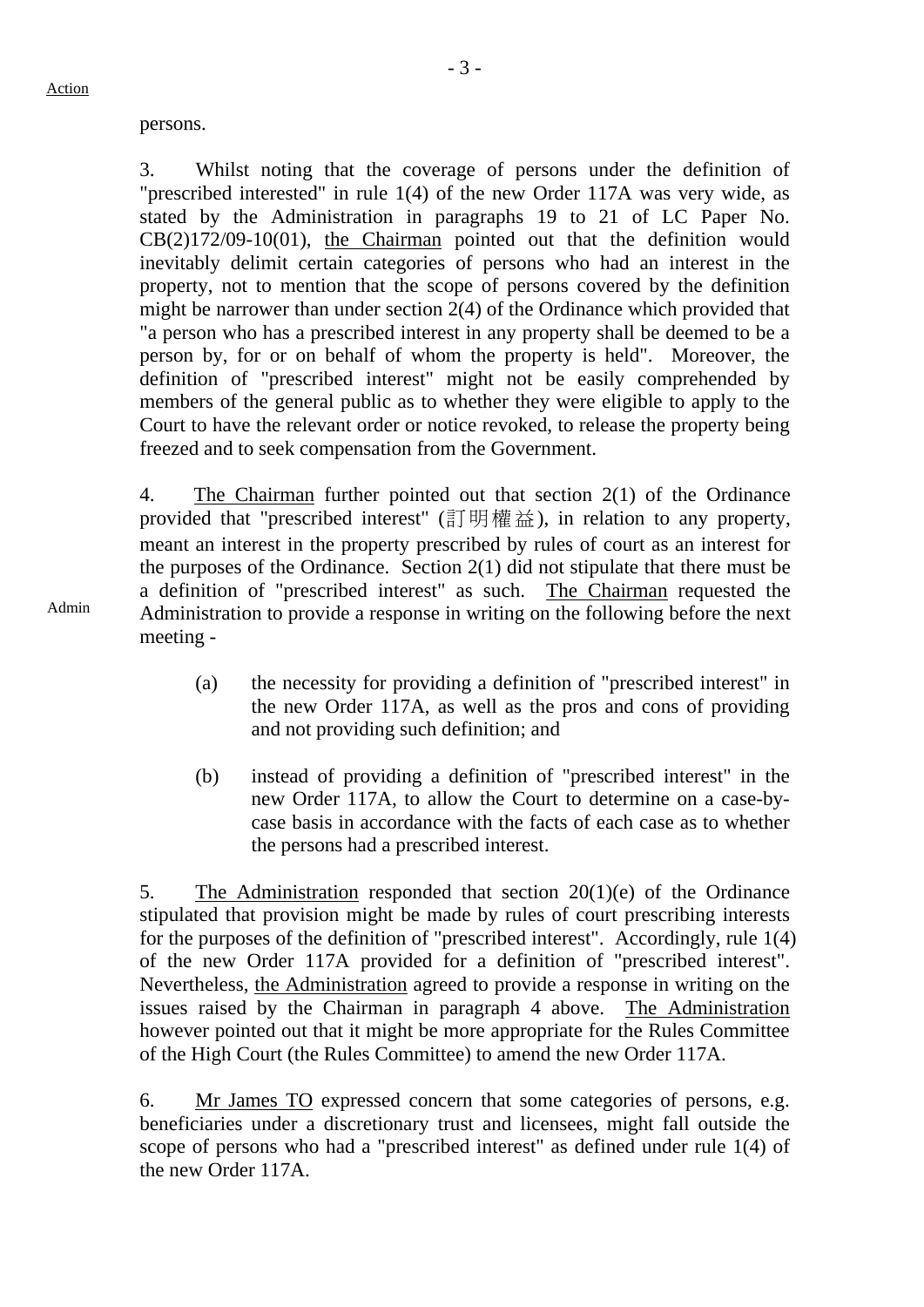persons.

3. Whilst noting that the coverage of persons under the definition of "prescribed interested" in rule 1(4) of the new Order 117A was very wide, as stated by the Administration in paragraphs 19 to 21 of LC Paper No. CB(2)172/09-10(01), the Chairman pointed out that the definition would inevitably delimit certain categories of persons who had an interest in the property, not to mention that the scope of persons covered by the definition might be narrower than under section 2(4) of the Ordinance which provided that "a person who has a prescribed interest in any property shall be deemed to be a person by, for or on behalf of whom the property is held". Moreover, the definition of "prescribed interest" might not be easily comprehended by members of the general public as to whether they were eligible to apply to the Court to have the relevant order or notice revoked, to release the property being freezed and to seek compensation from the Government.

4. The Chairman further pointed out that section 2(1) of the Ordinance provided that "prescribed interest" (訂明權益), in relation to any property, meant an interest in the property prescribed by rules of court as an interest for the purposes of the Ordinance. Section 2(1) did not stipulate that there must be a definition of "prescribed interest" as such. The Chairman requested the Administration to provide a response in writing on the following before the next meeting -

- (a) the necessity for providing a definition of "prescribed interest" in the new Order 117A, as well as the pros and cons of providing and not providing such definition; and
- (b) instead of providing a definition of "prescribed interest" in the new Order 117A, to allow the Court to determine on a case-bycase basis in accordance with the facts of each case as to whether the persons had a prescribed interest.

5. The Administration responded that section 20(1)(e) of the Ordinance stipulated that provision might be made by rules of court prescribing interests for the purposes of the definition of "prescribed interest". Accordingly, rule 1(4) of the new Order 117A provided for a definition of "prescribed interest". Nevertheless, the Administration agreed to provide a response in writing on the issues raised by the Chairman in paragraph 4 above. The Administration however pointed out that it might be more appropriate for the Rules Committee of the High Court (the Rules Committee) to amend the new Order 117A.

6. Mr James TO expressed concern that some categories of persons, e.g. beneficiaries under a discretionary trust and licensees, might fall outside the scope of persons who had a "prescribed interest" as defined under rule 1(4) of the new Order 117A.

Admin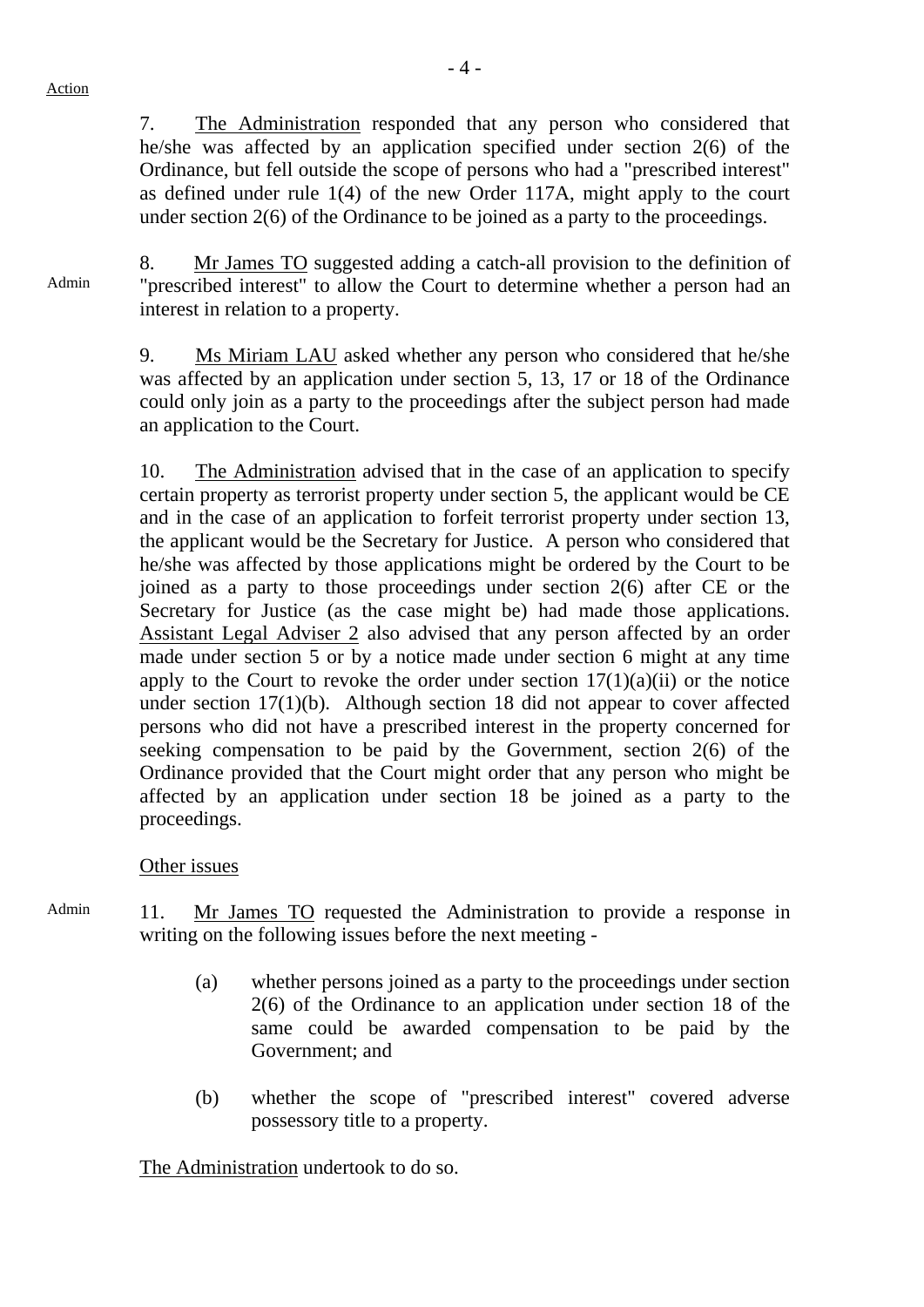Action

7. The Administration responded that any person who considered that he/she was affected by an application specified under section 2(6) of the Ordinance, but fell outside the scope of persons who had a "prescribed interest" as defined under rule 1(4) of the new Order 117A, might apply to the court under section 2(6) of the Ordinance to be joined as a party to the proceedings.

Admin 8. Mr James TO suggested adding a catch-all provision to the definition of "prescribed interest" to allow the Court to determine whether a person had an interest in relation to a property.

> 9. Ms Miriam LAU asked whether any person who considered that he/she was affected by an application under section 5, 13, 17 or 18 of the Ordinance could only join as a party to the proceedings after the subject person had made an application to the Court.

> 10. The Administration advised that in the case of an application to specify certain property as terrorist property under section 5, the applicant would be CE and in the case of an application to forfeit terrorist property under section 13, the applicant would be the Secretary for Justice. A person who considered that he/she was affected by those applications might be ordered by the Court to be joined as a party to those proceedings under section 2(6) after CE or the Secretary for Justice (as the case might be) had made those applications. Assistant Legal Adviser 2 also advised that any person affected by an order made under section 5 or by a notice made under section 6 might at any time apply to the Court to revoke the order under section  $17(1)(a)(ii)$  or the notice under section 17(1)(b). Although section 18 did not appear to cover affected persons who did not have a prescribed interest in the property concerned for seeking compensation to be paid by the Government, section 2(6) of the Ordinance provided that the Court might order that any person who might be affected by an application under section 18 be joined as a party to the proceedings.

## Other issues

- Admin 11. Mr James TO requested the Administration to provide a response in writing on the following issues before the next meeting -
	- (a) whether persons joined as a party to the proceedings under section 2(6) of the Ordinance to an application under section 18 of the same could be awarded compensation to be paid by the Government; and
	- (b) whether the scope of "prescribed interest" covered adverse possessory title to a property.

The Administration undertook to do so.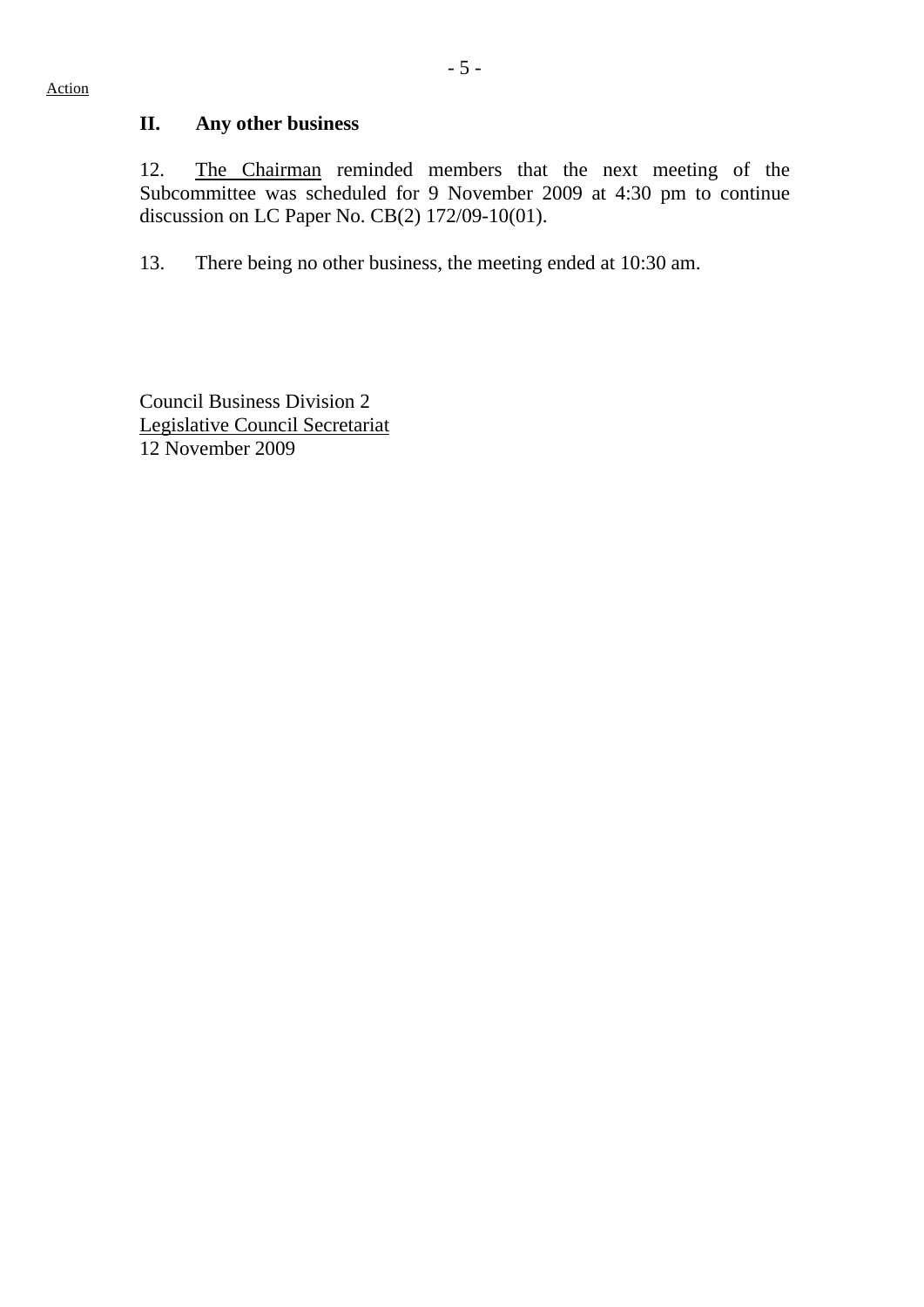## **II. Any other business**

12. The Chairman reminded members that the next meeting of the Subcommittee was scheduled for 9 November 2009 at 4:30 pm to continue discussion on LC Paper No. CB(2) 172/09-10(01).

13. There being no other business, the meeting ended at 10:30 am.

Council Business Division 2 Legislative Council Secretariat 12 November 2009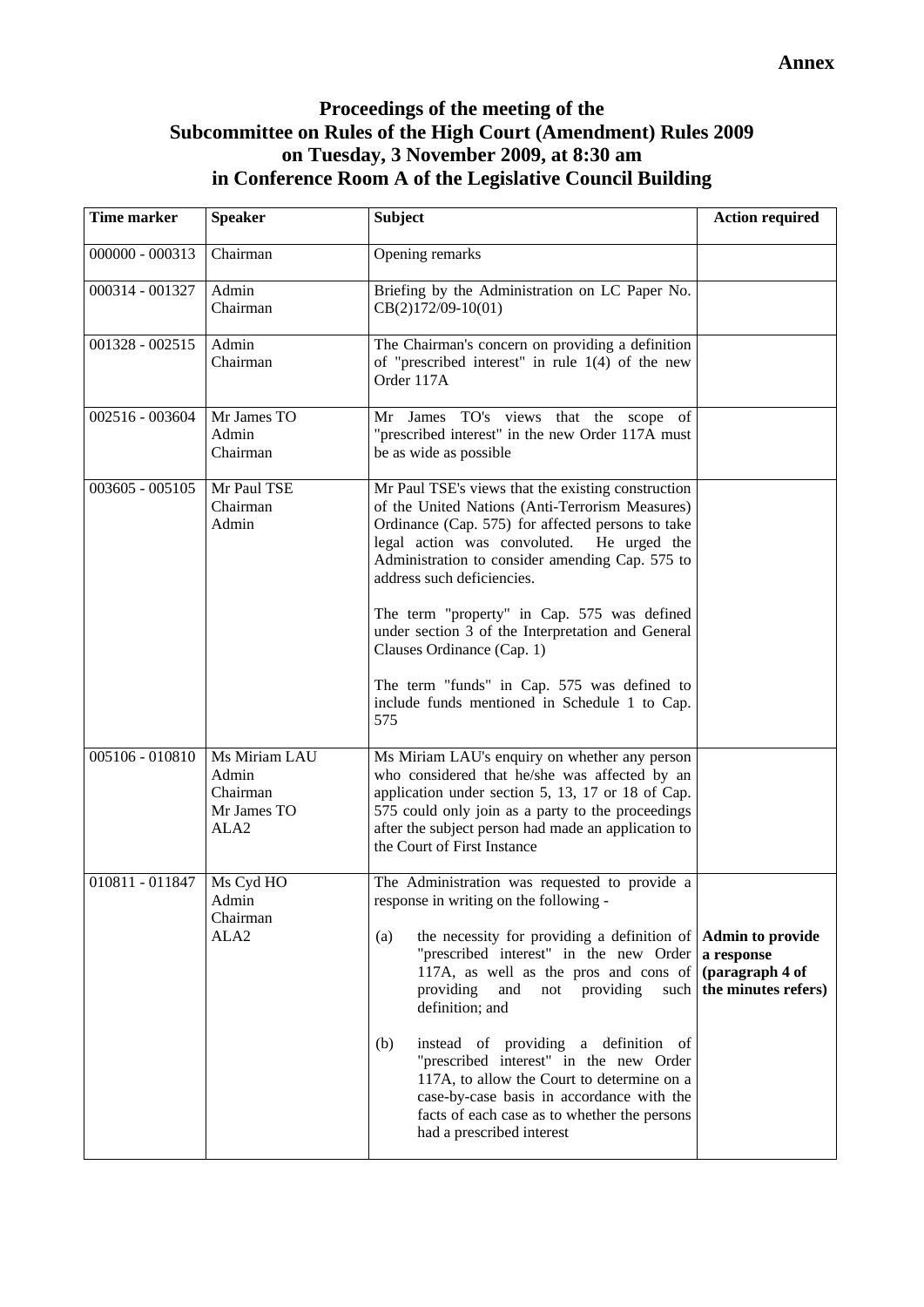# **Proceedings of the meeting of the Subcommittee on Rules of the High Court (Amendment) Rules 2009 on Tuesday, 3 November 2009, at 8:30 am in Conference Room A of the Legislative Council Building**

| Time marker       | <b>Speaker</b>                                            | <b>Subject</b>                                                                                                                                                                                                                                                                                                                                                                                                                                                                                                                                            | <b>Action required</b> |
|-------------------|-----------------------------------------------------------|-----------------------------------------------------------------------------------------------------------------------------------------------------------------------------------------------------------------------------------------------------------------------------------------------------------------------------------------------------------------------------------------------------------------------------------------------------------------------------------------------------------------------------------------------------------|------------------------|
| 000000 - 000313   | Chairman                                                  | Opening remarks                                                                                                                                                                                                                                                                                                                                                                                                                                                                                                                                           |                        |
| 000314 - 001327   | Admin<br>Chairman                                         | Briefing by the Administration on LC Paper No.<br>CB(2)172/09-10(01)                                                                                                                                                                                                                                                                                                                                                                                                                                                                                      |                        |
| 001328 - 002515   | Admin<br>Chairman                                         | The Chairman's concern on providing a definition<br>of "prescribed interest" in rule $1(4)$ of the new<br>Order 117A                                                                                                                                                                                                                                                                                                                                                                                                                                      |                        |
| 002516 - 003604   | Mr James TO<br>Admin<br>Chairman                          | Mr James TO's views that the scope of<br>"prescribed interest" in the new Order 117A must<br>be as wide as possible                                                                                                                                                                                                                                                                                                                                                                                                                                       |                        |
| $003605 - 005105$ | Mr Paul TSE<br>Chairman<br>Admin                          | Mr Paul TSE's views that the existing construction<br>of the United Nations (Anti-Terrorism Measures)<br>Ordinance (Cap. 575) for affected persons to take<br>legal action was convoluted. He urged the<br>Administration to consider amending Cap. 575 to<br>address such deficiencies.<br>The term "property" in Cap. 575 was defined                                                                                                                                                                                                                   |                        |
|                   |                                                           | under section 3 of the Interpretation and General<br>Clauses Ordinance (Cap. 1)<br>The term "funds" in Cap. 575 was defined to<br>include funds mentioned in Schedule 1 to Cap.<br>575                                                                                                                                                                                                                                                                                                                                                                    |                        |
| 005106 - 010810   | Ms Miriam LAU<br>Admin<br>Chairman<br>Mr James TO<br>ALA2 | Ms Miriam LAU's enquiry on whether any person<br>who considered that he/she was affected by an<br>application under section 5, 13, 17 or 18 of Cap.<br>575 could only join as a party to the proceedings<br>after the subject person had made an application to<br>the Court of First Instance                                                                                                                                                                                                                                                            |                        |
| 010811 - 011847   | Ms Cyd HO<br>Admin<br>Chairman<br>ALA <sub>2</sub>        | The Administration was requested to provide a<br>response in writing on the following -<br>the necessity for providing a definition of $\Delta$ <b>Admin to provide</b><br>(a)<br>"prescribed interest" in the new Order a response<br>117A, as well as the pros and cons of $\alpha$ (paragraph 4 of<br>providing<br>and<br>not providing<br>such<br>definition; and<br>instead of providing a definition of<br>(b)<br>"prescribed interest" in the new Order<br>117A, to allow the Court to determine on a<br>case-by-case basis in accordance with the | the minutes refers)    |
|                   |                                                           | facts of each case as to whether the persons<br>had a prescribed interest                                                                                                                                                                                                                                                                                                                                                                                                                                                                                 |                        |